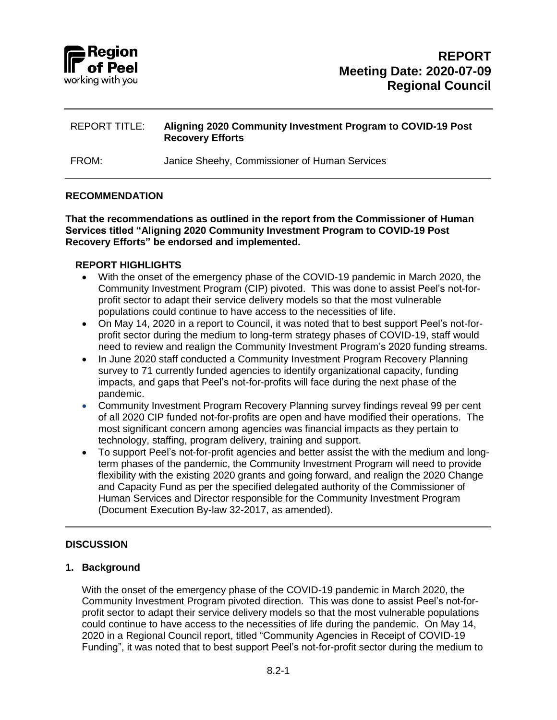

FROM: Janice Sheehy, Commissioner of Human Services

#### **RECOMMENDATION**

**That the recommendations as outlined in the report from the Commissioner of Human Services titled "Aligning 2020 Community Investment Program to COVID-19 Post Recovery Efforts" be endorsed and implemented.**

#### **REPORT HIGHLIGHTS**

- With the onset of the emergency phase of the COVID-19 pandemic in March 2020, the Community Investment Program (CIP) pivoted. This was done to assist Peel's not-forprofit sector to adapt their service delivery models so that the most vulnerable populations could continue to have access to the necessities of life.
- On May 14, 2020 in a report to Council, it was noted that to best support Peel's not-forprofit sector during the medium to long-term strategy phases of COVID-19, staff would need to review and realign the Community Investment Program's 2020 funding streams.
- In June 2020 staff conducted a Community Investment Program Recovery Planning survey to 71 currently funded agencies to identify organizational capacity, funding impacts, and gaps that Peel's not-for-profits will face during the next phase of the pandemic.
- Community Investment Program Recovery Planning survey findings reveal 99 per cent of all 2020 CIP funded not-for-profits are open and have modified their operations. The most significant concern among agencies was financial impacts as they pertain to technology, staffing, program delivery, training and support.
- To support Peel's not-for-profit agencies and better assist the with the medium and longterm phases of the pandemic, the Community Investment Program will need to provide flexibility with the existing 2020 grants and going forward, and realign the 2020 Change and Capacity Fund as per the specified delegated authority of the Commissioner of Human Services and Director responsible for the Community Investment Program (Document Execution By-law 32-2017, as amended).

### **DISCUSSION**

### **1. Background**

With the onset of the emergency phase of the COVID-19 pandemic in March 2020, the Community Investment Program pivoted direction. This was done to assist Peel's not-forprofit sector to adapt their service delivery models so that the most vulnerable populations could continue to have access to the necessities of life during the pandemic. On May 14, 2020 in a Regional Council report, titled "Community Agencies in Receipt of COVID-19 Funding", it was noted that to best support Peel's not-for-profit sector during the medium to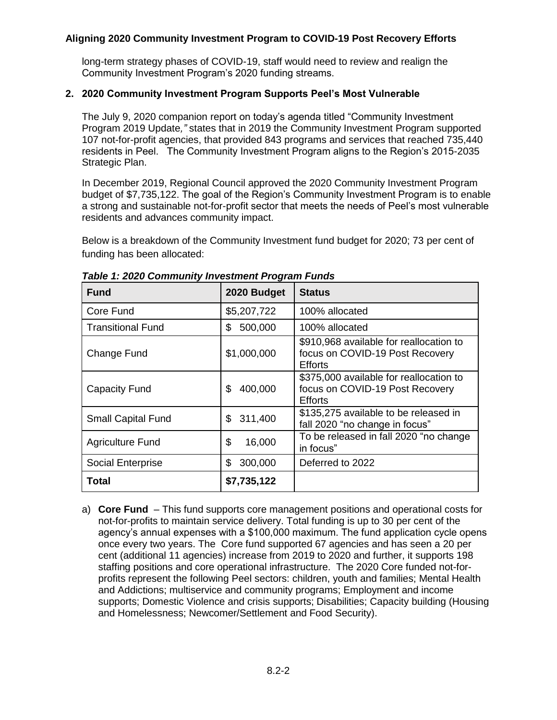long-term strategy phases of COVID-19, staff would need to review and realign the Community Investment Program's 2020 funding streams.

### **2. 2020 Community Investment Program Supports Peel's Most Vulnerable**

The July 9, 2020 companion report on today's agenda titled "Community Investment Program 2019 Update*,"* states that in 2019 the Community Investment Program supported 107 not-for-profit agencies, that provided 843 programs and services that reached 735,440 residents in Peel. The Community Investment Program aligns to the Region's 2015-2035 Strategic Plan.

In December 2019, Regional Council approved the 2020 Community Investment Program budget of \$7,735,122. The goal of the Region's Community Investment Program is to enable a strong and sustainable not-for-profit sector that meets the needs of Peel's most vulnerable residents and advances community impact.

Below is a breakdown of the Community Investment fund budget for 2020; 73 per cent of funding has been allocated:

| <b>Fund</b>               | 2020 Budget   | <b>Status</b>                                                                                |
|---------------------------|---------------|----------------------------------------------------------------------------------------------|
| Core Fund                 | \$5,207,722   | 100% allocated                                                                               |
| <b>Transitional Fund</b>  | 500,000<br>\$ | 100% allocated                                                                               |
| Change Fund               | \$1,000,000   | \$910,968 available for reallocation to<br>focus on COVID-19 Post Recovery<br><b>Efforts</b> |
| Capacity Fund             | \$<br>400,000 | \$375,000 available for reallocation to<br>focus on COVID-19 Post Recovery<br><b>Efforts</b> |
| <b>Small Capital Fund</b> | 311,400<br>\$ | \$135,275 available to be released in<br>fall 2020 "no change in focus"                      |
| <b>Agriculture Fund</b>   | \$<br>16,000  | To be released in fall 2020 "no change<br>in focus"                                          |
| Social Enterprise         | \$<br>300,000 | Deferred to 2022                                                                             |
| Total                     | \$7,735,122   |                                                                                              |

*Table 1: 2020 Community Investment Program Funds* 

a) **Core Fund** – This fund supports core management positions and operational costs for not-for-profits to maintain service delivery. Total funding is up to 30 per cent of the agency's annual expenses with a \$100,000 maximum. The fund application cycle opens once every two years. The Core fund supported 67 agencies and has seen a 20 per cent (additional 11 agencies) increase from 2019 to 2020 and further, it supports 198 staffing positions and core operational infrastructure. The 2020 Core funded not-forprofits represent the following Peel sectors: children, youth and families; Mental Health and Addictions; multiservice and community programs; Employment and income supports; Domestic Violence and crisis supports; Disabilities; Capacity building (Housing and Homelessness; Newcomer/Settlement and Food Security).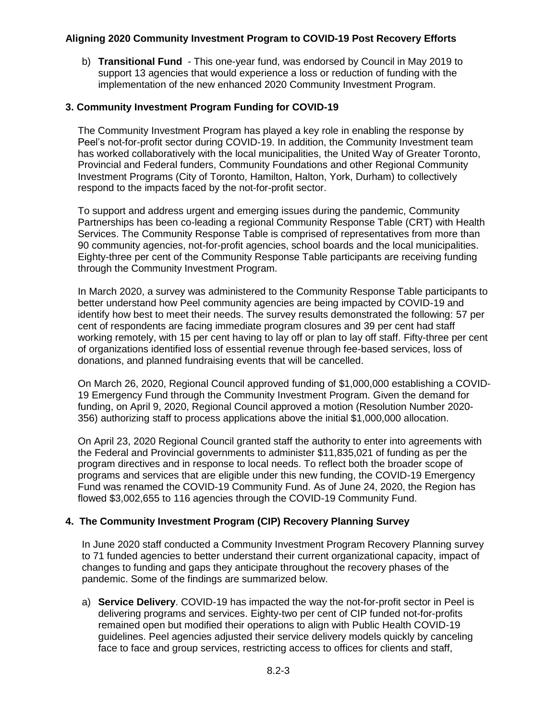b) **Transitional Fund** - This one-year fund, was endorsed by Council in May 2019 to support 13 agencies that would experience a loss or reduction of funding with the implementation of the new enhanced 2020 Community Investment Program.

### **3. Community Investment Program Funding for COVID-19**

The Community Investment Program has played a key role in enabling the response by Peel's not-for-profit sector during COVID-19. In addition, the Community Investment team has worked collaboratively with the local municipalities, the United Way of Greater Toronto, Provincial and Federal funders, Community Foundations and other Regional Community Investment Programs (City of Toronto, Hamilton, Halton, York, Durham) to collectively respond to the impacts faced by the not-for-profit sector.

To support and address urgent and emerging issues during the pandemic, Community Partnerships has been co-leading a regional Community Response Table (CRT) with Health Services. The Community Response Table is comprised of representatives from more than 90 community agencies, not-for-profit agencies, school boards and the local municipalities. Eighty-three per cent of the Community Response Table participants are receiving funding through the Community Investment Program.

In March 2020, a survey was administered to the Community Response Table participants to better understand how Peel community agencies are being impacted by COVID-19 and identify how best to meet their needs. The survey results demonstrated the following: 57 per cent of respondents are facing immediate program closures and 39 per cent had staff working remotely, with 15 per cent having to lay off or plan to lay off staff. Fifty-three per cent of organizations identified loss of essential revenue through fee-based services, loss of donations, and planned fundraising events that will be cancelled.

On March 26, 2020, Regional Council approved funding of \$1,000,000 establishing a COVID-19 Emergency Fund through the Community Investment Program. Given the demand for funding, on April 9, 2020, Regional Council approved a motion (Resolution Number 2020- 356) authorizing staff to process applications above the initial \$1,000,000 allocation.

On April 23, 2020 Regional Council granted staff the authority to enter into agreements with the Federal and Provincial governments to administer \$11,835,021 of funding as per the program directives and in response to local needs. To reflect both the broader scope of programs and services that are eligible under this new funding, the COVID-19 Emergency Fund was renamed the COVID-19 Community Fund. As of June 24, 2020, the Region has flowed \$3,002,655 to 116 agencies through the COVID-19 Community Fund.

# **4. The Community Investment Program (CIP) Recovery Planning Survey**

In June 2020 staff conducted a Community Investment Program Recovery Planning survey to 71 funded agencies to better understand their current organizational capacity, impact of changes to funding and gaps they anticipate throughout the recovery phases of the pandemic. Some of the findings are summarized below.

a) **Service Delivery**. COVID-19 has impacted the way the not-for-profit sector in Peel is delivering programs and services. Eighty-two per cent of CIP funded not-for-profits remained open but modified their operations to align with Public Health COVID-19 guidelines. Peel agencies adjusted their service delivery models quickly by canceling face to face and group services, restricting access to offices for clients and staff,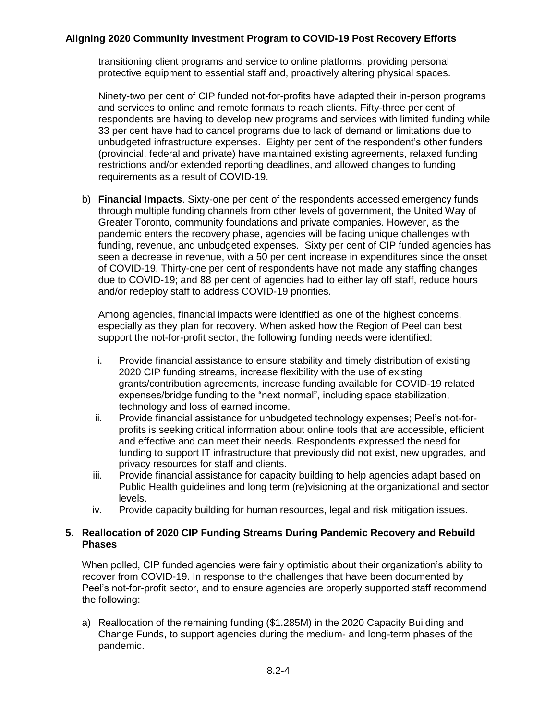transitioning client programs and service to online platforms, providing personal protective equipment to essential staff and, proactively altering physical spaces.

Ninety-two per cent of CIP funded not-for-profits have adapted their in-person programs and services to online and remote formats to reach clients. Fifty-three per cent of respondents are having to develop new programs and services with limited funding while 33 per cent have had to cancel programs due to lack of demand or limitations due to unbudgeted infrastructure expenses. Eighty per cent of the respondent's other funders (provincial, federal and private) have maintained existing agreements, relaxed funding restrictions and/or extended reporting deadlines, and allowed changes to funding requirements as a result of COVID-19.

b) **Financial Impacts**. Sixty-one per cent of the respondents accessed emergency funds through multiple funding channels from other levels of government, the United Way of Greater Toronto, community foundations and private companies. However, as the pandemic enters the recovery phase, agencies will be facing unique challenges with funding, revenue, and unbudgeted expenses. Sixty per cent of CIP funded agencies has seen a decrease in revenue, with a 50 per cent increase in expenditures since the onset of COVID-19. Thirty-one per cent of respondents have not made any staffing changes due to COVID-19; and 88 per cent of agencies had to either lay off staff, reduce hours and/or redeploy staff to address COVID-19 priorities.

Among agencies, financial impacts were identified as one of the highest concerns, especially as they plan for recovery. When asked how the Region of Peel can best support the not-for-profit sector, the following funding needs were identified:

- i. Provide financial assistance to ensure stability and timely distribution of existing 2020 CIP funding streams, increase flexibility with the use of existing grants/contribution agreements, increase funding available for COVID-19 related expenses/bridge funding to the "next normal", including space stabilization, technology and loss of earned income.
- ii. Provide financial assistance for unbudgeted technology expenses; Peel's not-forprofits is seeking critical information about online tools that are accessible, efficient and effective and can meet their needs. Respondents expressed the need for funding to support IT infrastructure that previously did not exist, new upgrades, and privacy resources for staff and clients.
- iii. Provide financial assistance for capacity building to help agencies adapt based on Public Health guidelines and long term (re)visioning at the organizational and sector levels.
- iv. Provide capacity building for human resources, legal and risk mitigation issues.

### **5. Reallocation of 2020 CIP Funding Streams During Pandemic Recovery and Rebuild Phases**

When polled, CIP funded agencies were fairly optimistic about their organization's ability to recover from COVID-19. In response to the challenges that have been documented by Peel's not-for-profit sector, and to ensure agencies are properly supported staff recommend the following:

a) Reallocation of the remaining funding (\$1.285M) in the 2020 Capacity Building and Change Funds, to support agencies during the medium- and long-term phases of the pandemic.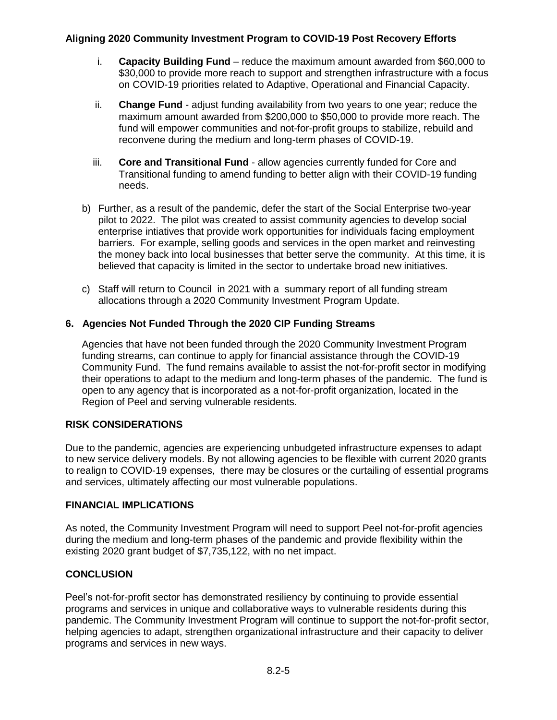- i. **Capacity Building Fund** reduce the maximum amount awarded from \$60,000 to \$30,000 to provide more reach to support and strengthen infrastructure with a focus on COVID-19 priorities related to Adaptive, Operational and Financial Capacity.
- ii. **Change Fund** adjust funding availability from two years to one year; reduce the maximum amount awarded from \$200,000 to \$50,000 to provide more reach. The fund will empower communities and not-for-profit groups to stabilize, rebuild and reconvene during the medium and long-term phases of COVID-19.
- iii. **Core and Transitional Fund**  allow agencies currently funded for Core and Transitional funding to amend funding to better align with their COVID-19 funding needs.
- b) Further, as a result of the pandemic, defer the start of the Social Enterprise two-year pilot to 2022. The pilot was created to assist community agencies to develop social enterprise intiatives that provide work opportunities for individuals facing employment barriers. For example, selling goods and services in the open market and reinvesting the money back into local businesses that better serve the community. At this time, it is believed that capacity is limited in the sector to undertake broad new initiatives.
- c) Staff will return to Council in 2021 with a summary report of all funding stream allocations through a 2020 Community Investment Program Update.

### **6. Agencies Not Funded Through the 2020 CIP Funding Streams**

Agencies that have not been funded through the 2020 Community Investment Program funding streams, can continue to apply for financial assistance through the COVID-19 Community Fund. The fund remains available to assist the not-for-profit sector in modifying their operations to adapt to the medium and long-term phases of the pandemic. The fund is open to any agency that is incorporated as a not-for-profit organization, located in the Region of Peel and serving vulnerable residents.

### **RISK CONSIDERATIONS**

Due to the pandemic, agencies are experiencing unbudgeted infrastructure expenses to adapt to new service delivery models. By not allowing agencies to be flexible with current 2020 grants to realign to COVID-19 expenses, there may be closures or the curtailing of essential programs and services, ultimately affecting our most vulnerable populations.

### **FINANCIAL IMPLICATIONS**

As noted, the Community Investment Program will need to support Peel not-for-profit agencies during the medium and long-term phases of the pandemic and provide flexibility within the existing 2020 grant budget of \$7,735,122, with no net impact.

### **CONCLUSION**

Peel's not-for-profit sector has demonstrated resiliency by continuing to provide essential programs and services in unique and collaborative ways to vulnerable residents during this pandemic. The Community Investment Program will continue to support the not-for-profit sector, helping agencies to adapt, strengthen organizational infrastructure and their capacity to deliver programs and services in new ways.